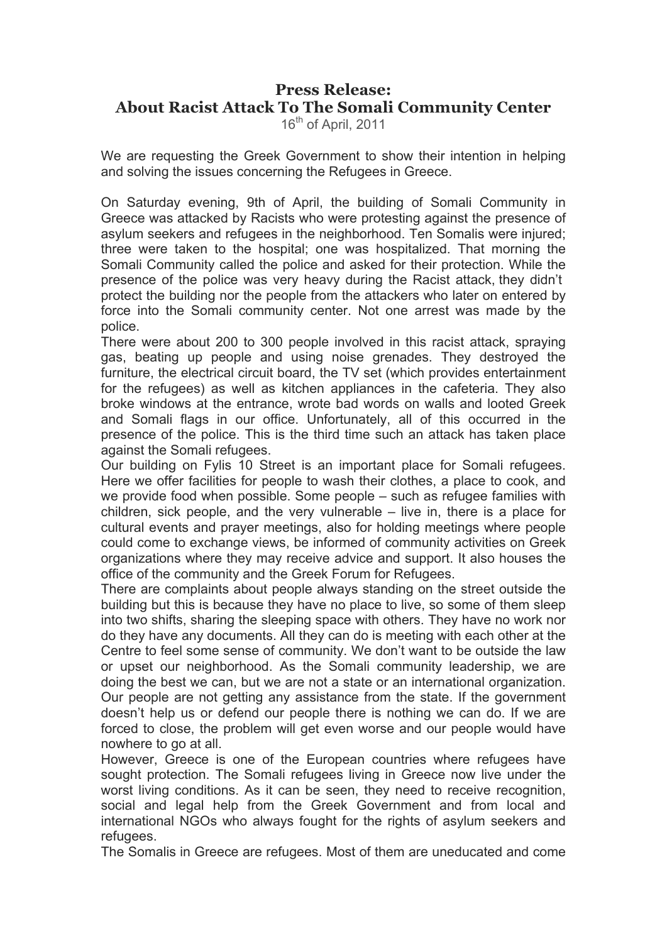## **Press Release: About Racist Attack To The Somali Community Center**

16<sup>th</sup> of April, 2011

We are requesting the Greek Government to show their intention in helping and solving the issues concerning the Refugees in Greece.

On Saturday evening, 9th of April, the building of Somali Community in Greece was attacked by Racists who were protesting against the presence of asylum seekers and refugees in the neighborhood. Ten Somalis were injured; three were taken to the hospital; one was hospitalized. That morning the Somali Community called the police and asked for their protection. While the presence of the police was very heavy during the Racist attack, they didn't protect the building nor the people from the attackers who later on entered by force into the Somali community center. Not one arrest was made by the police.

There were about 200 to 300 people involved in this racist attack, spraying gas, beating up people and using noise grenades. They destroyed the furniture, the electrical circuit board, the TV set (which provides entertainment for the refugees) as well as kitchen appliances in the cafeteria. They also broke windows at the entrance, wrote bad words on walls and looted Greek and Somali flags in our office. Unfortunately, all of this occurred in the presence of the police. This is the third time such an attack has taken place against the Somali refugees.

Our building on Fylis 10 Street is an important place for Somali refugees. Here we offer facilities for people to wash their clothes, a place to cook, and we provide food when possible. Some people – such as refugee families with children, sick people, and the very vulnerable – live in, there is a place for cultural events and prayer meetings, also for holding meetings where people could come to exchange views, be informed of community activities on Greek organizations where they may receive advice and support. It also houses the office of the community and the Greek Forum for Refugees.

There are complaints about people always standing on the street outside the building but this is because they have no place to live, so some of them sleep into two shifts, sharing the sleeping space with others. They have no work nor do they have any documents. All they can do is meeting with each other at the Centre to feel some sense of community. We don't want to be outside the law or upset our neighborhood. As the Somali community leadership, we are doing the best we can, but we are not a state or an international organization. Our people are not getting any assistance from the state. If the government doesn't help us or defend our people there is nothing we can do. If we are forced to close, the problem will get even worse and our people would have nowhere to go at all.

However, Greece is one of the European countries where refugees have sought protection. The Somali refugees living in Greece now live under the worst living conditions. As it can be seen, they need to receive recognition, social and legal help from the Greek Government and from local and international NGOs who always fought for the rights of asylum seekers and refugees.

The Somalis in Greece are refugees. Most of them are uneducated and come